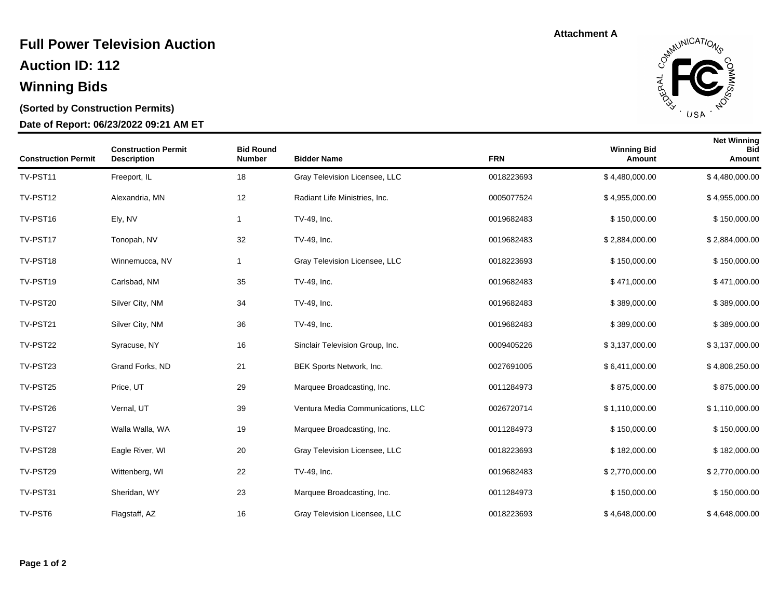### **Auction ID: 112 Full Power Television Auction**

# **Winning Bids**

### **(Sorted by Construction Permits)**

#### **Date of Report: 06/23/2022 09:21 AM ET**

**Attachment A**



| <b>Construction Permit</b> | <b>Construction Permit</b><br><b>Description</b> | <b>Bid Round</b><br><b>Number</b> | <b>Bidder Name</b>                | <b>FRN</b> | <b>Winning Bid</b><br>Amount | <b>Net Winning</b><br><b>Bid</b><br>Amount |
|----------------------------|--------------------------------------------------|-----------------------------------|-----------------------------------|------------|------------------------------|--------------------------------------------|
| TV-PST11                   | Freeport, IL                                     | 18                                | Gray Television Licensee, LLC     | 0018223693 | \$4,480,000.00               | \$4,480,000.00                             |
| TV-PST12                   | Alexandria, MN                                   | 12                                | Radiant Life Ministries, Inc.     | 0005077524 | \$4,955,000.00               | \$4,955,000.00                             |
| TV-PST16                   | Ely, NV                                          | $\mathbf{1}$                      | TV-49, Inc.                       | 0019682483 | \$150,000.00                 | \$150,000.00                               |
| TV-PST17                   | Tonopah, NV                                      | 32                                | TV-49, Inc.                       | 0019682483 | \$2,884,000.00               | \$2,884,000.00                             |
| TV-PST18                   | Winnemucca, NV                                   | $\mathbf{1}$                      | Gray Television Licensee, LLC     | 0018223693 | \$150,000.00                 | \$150,000.00                               |
| TV-PST19                   | Carlsbad, NM                                     | 35                                | TV-49, Inc.                       | 0019682483 | \$471,000.00                 | \$471,000.00                               |
| TV-PST20                   | Silver City, NM                                  | 34                                | TV-49, Inc.                       | 0019682483 | \$389,000.00                 | \$389,000.00                               |
| TV-PST21                   | Silver City, NM                                  | 36                                | TV-49, Inc.                       | 0019682483 | \$389,000.00                 | \$389,000.00                               |
| TV-PST22                   | Syracuse, NY                                     | 16                                | Sinclair Television Group, Inc.   | 0009405226 | \$3,137,000.00               | \$3,137,000.00                             |
| TV-PST23                   | Grand Forks, ND                                  | 21                                | BEK Sports Network, Inc.          | 0027691005 | \$6,411,000.00               | \$4,808,250.00                             |
| TV-PST25                   | Price, UT                                        | 29                                | Marquee Broadcasting, Inc.        | 0011284973 | \$875,000.00                 | \$875,000.00                               |
| TV-PST26                   | Vernal, UT                                       | 39                                | Ventura Media Communications, LLC | 0026720714 | \$1,110,000.00               | \$1,110,000.00                             |
| TV-PST27                   | Walla Walla, WA                                  | 19                                | Marquee Broadcasting, Inc.        | 0011284973 | \$150,000.00                 | \$150,000.00                               |
| TV-PST28                   | Eagle River, WI                                  | 20                                | Gray Television Licensee, LLC     | 0018223693 | \$182,000.00                 | \$182,000.00                               |
| TV-PST29                   | Wittenberg, WI                                   | 22                                | TV-49, Inc.                       | 0019682483 | \$2,770,000.00               | \$2,770,000.00                             |
| TV-PST31                   | Sheridan, WY                                     | 23                                | Marquee Broadcasting, Inc.        | 0011284973 | \$150,000.00                 | \$150,000.00                               |
| TV-PST6                    | Flagstaff, AZ                                    | 16                                | Gray Television Licensee, LLC     | 0018223693 | \$4,648,000.00               | \$4,648,000.00                             |